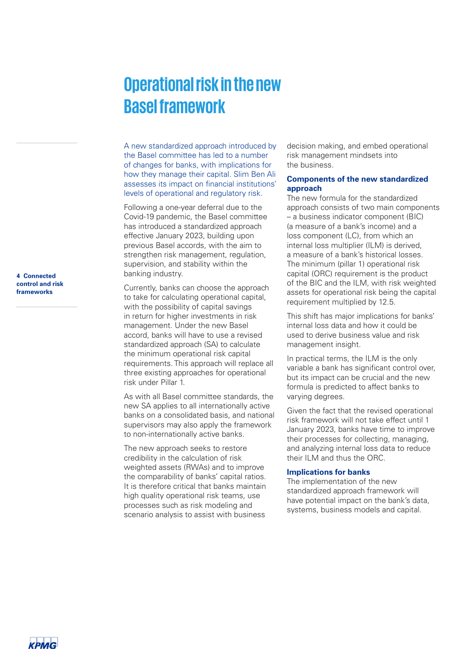# **Operational risk in the new Basel framework**

A new standardized approach introduced by the Basel committee has led to a number of changes for banks, with implications for how they manage their capital. Slim Ben Ali assesses its impact on financial institutions' levels of operational and regulatory risk.

Following a one-year deferral due to the Covid-19 pandemic, the Basel committee has introduced a standardized approach effective January 2023, building upon previous Basel accords, with the aim to strengthen risk management, regulation,

supervision, and stability within the banking industry. Currently, banks can choose the approach to take for calculating operational capital, with the possibility of capital savings in return for higher investments in risk management. Under the new Basel accord, banks will have to use a revised

standardized approach (SA) to calculate the minimum operational risk capital requirements. This approach will replace all three existing approaches for operational risk under Pillar 1.

As with all Basel committee standards, the new SA applies to all internationally active banks on a consolidated basis, and national supervisors may also apply the framework to non-internationally active banks.

The new approach seeks to restore credibility in the calculation of risk weighted assets (RWAs) and to improve the comparability of banks' capital ratios. It is therefore critical that banks maintain high quality operational risk teams, use processes such as risk modeling and scenario analysis to assist with business

decision making, and embed operational risk management mindsets into the business.

## **Components of the new standardized approach**

The new formula for the standardized approach consists of two main components – a business indicator component (BIC) (a measure of a bank's income) and a loss component (LC), from which an internal loss multiplier (ILM) is derived, a measure of a bank's historical losses. The minimum (pillar 1) operational risk capital (ORC) requirement is the product of the BIC and the ILM, with risk weighted assets for operational risk being the capital requirement multiplied by 12.5.

This shift has major implications for banks' internal loss data and how it could be used to derive business value and risk management insight.

In practical terms, the ILM is the only variable a bank has significant control over, but its impact can be crucial and the new formula is predicted to affect banks to varying degrees.

Given the fact that the revised operational risk framework will not take effect until 1 January 2023, banks have time to improve their processes for collecting, managing, and analyzing internal loss data to reduce their ILM and thus the ORC.

## **Implications for banks**

The implementation of the new standardized approach framework will have potential impact on the bank's data, systems, business models and capital.

**4 Connected control and risk frameworks**